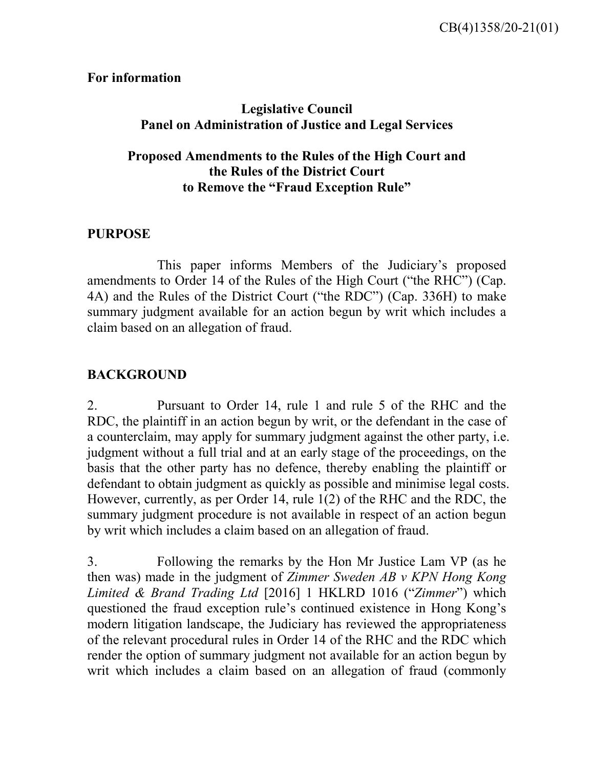**For information**

# **Legislative Council Panel on Administration of Justice and Legal Services**

## **Proposed Amendments to the Rules of the High Court and the Rules of the District Court to Remove the "Fraud Exception Rule"**

## **PURPOSE**

This paper informs Members of the Judiciary's proposed amendments to Order 14 of the Rules of the High Court ("the RHC") (Cap. 4A) and the Rules of the District Court ("the RDC") (Cap. 336H) to make summary judgment available for an action begun by writ which includes a claim based on an allegation of fraud.

# **BACKGROUND**

2. Pursuant to Order 14, rule 1 and rule 5 of the RHC and the RDC, the plaintiff in an action begun by writ, or the defendant in the case of a counterclaim, may apply for summary judgment against the other party, i.e. judgment without a full trial and at an early stage of the proceedings, on the basis that the other party has no defence, thereby enabling the plaintiff or defendant to obtain judgment as quickly as possible and minimise legal costs. However, currently, as per Order 14, rule 1(2) of the RHC and the RDC, the summary judgment procedure is not available in respect of an action begun by writ which includes a claim based on an allegation of fraud.

3. Following the remarks by the Hon Mr Justice Lam VP (as he then was) made in the judgment of *Zimmer Sweden AB v KPN Hong Kong Limited & Brand Trading Ltd* [2016] 1 HKLRD 1016 ("*Zimmer*") which questioned the fraud exception rule's continued existence in Hong Kong's modern litigation landscape, the Judiciary has reviewed the appropriateness of the relevant procedural rules in Order 14 of the RHC and the RDC which render the option of summary judgment not available for an action begun by writ which includes a claim based on an allegation of fraud (commonly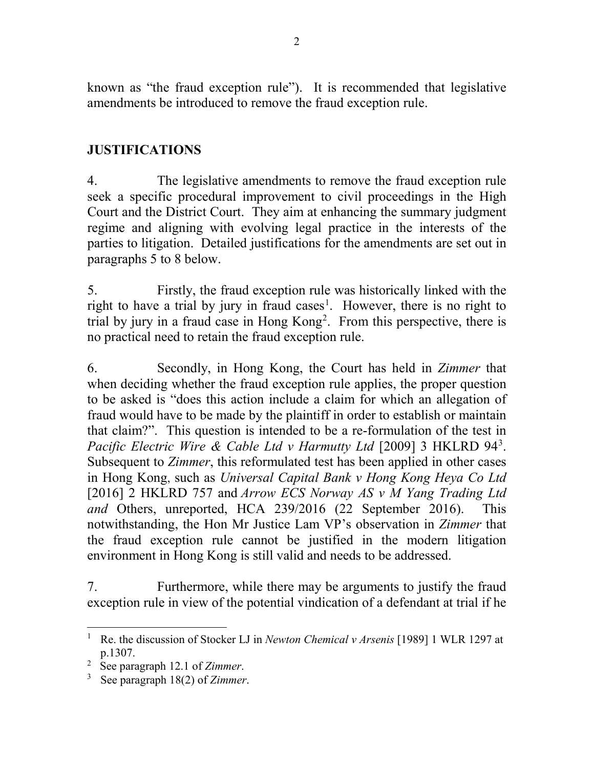known as "the fraud exception rule"). It is recommended that legislative amendments be introduced to remove the fraud exception rule.

## **JUSTIFICATIONS**

4. The legislative amendments to remove the fraud exception rule seek a specific procedural improvement to civil proceedings in the High Court and the District Court. They aim at enhancing the summary judgment regime and aligning with evolving legal practice in the interests of the parties to litigation. Detailed justifications for the amendments are set out in paragraphs 5 to 8 below.

5. Firstly, the fraud exception rule was historically linked with the right to have a trial by jury in fraud cases<sup>[1](#page-1-0)</sup>. However, there is no right to trial by jury in a fraud case in Hong  $Kong<sup>2</sup>$  $Kong<sup>2</sup>$  $Kong<sup>2</sup>$ . From this perspective, there is no practical need to retain the fraud exception rule.

6. Secondly, in Hong Kong, the Court has held in *Zimmer* that when deciding whether the fraud exception rule applies, the proper question to be asked is "does this action include a claim for which an allegation of fraud would have to be made by the plaintiff in order to establish or maintain that claim?". This question is intended to be a re-formulation of the test in Pacific Electric Wire & Cable Ltd v Harmutty Ltd [2009] [3](#page-1-2) HKLRD 94<sup>3</sup>. Subsequent to *Zimmer*, this reformulated test has been applied in other cases in Hong Kong, such as *Universal Capital Bank v Hong Kong Heya Co Ltd* [2016] 2 HKLRD 757 and *Arrow ECS Norway AS v M Yang Trading Ltd and* Others, unreported, HCA 239/2016 (22 September 2016). This notwithstanding, the Hon Mr Justice Lam VP's observation in *Zimmer* that the fraud exception rule cannot be justified in the modern litigation environment in Hong Kong is still valid and needs to be addressed.

7. Furthermore, while there may be arguments to justify the fraud exception rule in view of the potential vindication of a defendant at trial if he

<span id="page-1-0"></span><sup>&</sup>lt;sup>1</sup> Re. the discussion of Stocker LJ in *Newton Chemical v Arsenis* [1989] 1 WLR 1297 at p.1307.

<span id="page-1-1"></span><sup>2</sup> See paragraph 12.1 of *Zimmer*.

<span id="page-1-2"></span><sup>3</sup> See paragraph 18(2) of *Zimmer*.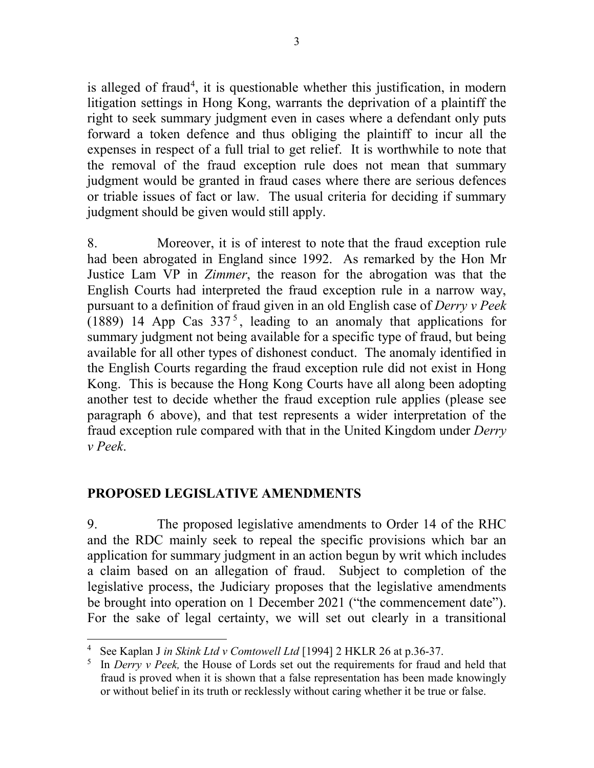is alleged of fraud<sup>[4](#page-2-0)</sup>, it is questionable whether this justification, in modern litigation settings in Hong Kong, warrants the deprivation of a plaintiff the right to seek summary judgment even in cases where a defendant only puts forward a token defence and thus obliging the plaintiff to incur all the expenses in respect of a full trial to get relief. It is worthwhile to note that the removal of the fraud exception rule does not mean that summary judgment would be granted in fraud cases where there are serious defences or triable issues of fact or law. The usual criteria for deciding if summary judgment should be given would still apply.

8. Moreover, it is of interest to note that the fraud exception rule had been abrogated in England since 1992. As remarked by the Hon Mr Justice Lam VP in *Zimmer*, the reason for the abrogation was that the English Courts had interpreted the fraud exception rule in a narrow way, pursuant to a definition of fraud given in an old English case of *Derry v Peek* (1889) 14 App Cas  $337<sup>5</sup>$  $337<sup>5</sup>$  $337<sup>5</sup>$ , leading to an anomaly that applications for summary judgment not being available for a specific type of fraud, but being available for all other types of dishonest conduct. The anomaly identified in the English Courts regarding the fraud exception rule did not exist in Hong Kong. This is because the Hong Kong Courts have all along been adopting another test to decide whether the fraud exception rule applies (please see paragraph 6 above), and that test represents a wider interpretation of the fraud exception rule compared with that in the United Kingdom under *Derry v Peek*.

# **PROPOSED LEGISLATIVE AMENDMENTS**

9. The proposed legislative amendments to Order 14 of the RHC and the RDC mainly seek to repeal the specific provisions which bar an application for summary judgment in an action begun by writ which includes a claim based on an allegation of fraud. Subject to completion of the legislative process, the Judiciary proposes that the legislative amendments be brought into operation on 1 December 2021 ("the commencement date"). For the sake of legal certainty, we will set out clearly in a transitional

<span id="page-2-0"></span> <sup>4</sup> See Kaplan J *in Skink Ltd v Comtowell Ltd* [1994] 2 HKLR 26 at p.36-37.

<span id="page-2-1"></span><sup>5</sup> In *Derry v Peek,* the House of Lords set out the requirements for fraud and held that fraud is proved when it is shown that a false representation has been made knowingly or without belief in its truth or recklessly without caring whether it be true or false.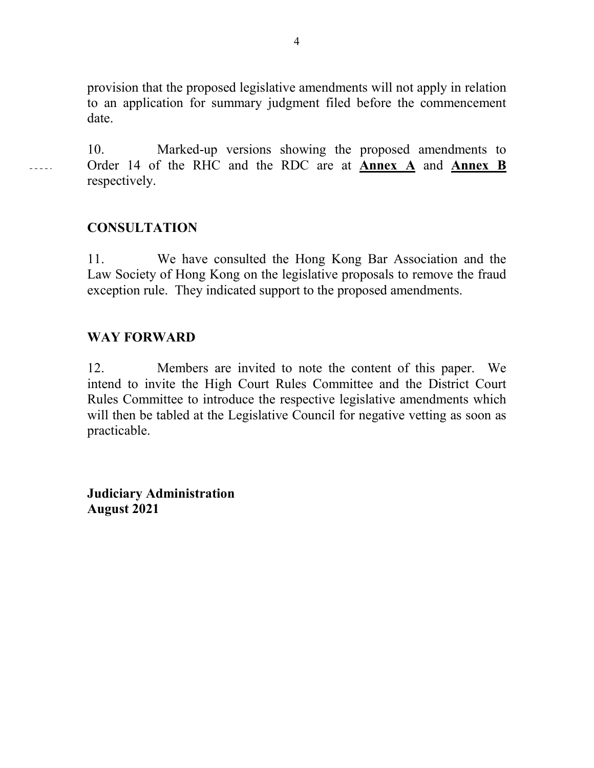provision that the proposed legislative amendments will not apply in relation to an application for summary judgment filed before the commencement date.

10. Marked-up versions showing the proposed amendments to Order 14 of the RHC and the RDC are at **Annex A** and **Annex B** respectively.

### **CONSULTATION**

 $- - - - -$ 

11. We have consulted the Hong Kong Bar Association and the Law Society of Hong Kong on the legislative proposals to remove the fraud exception rule. They indicated support to the proposed amendments.

### **WAY FORWARD**

12. Members are invited to note the content of this paper. We intend to invite the High Court Rules Committee and the District Court Rules Committee to introduce the respective legislative amendments which will then be tabled at the Legislative Council for negative vetting as soon as practicable.

**Judiciary Administration August 2021**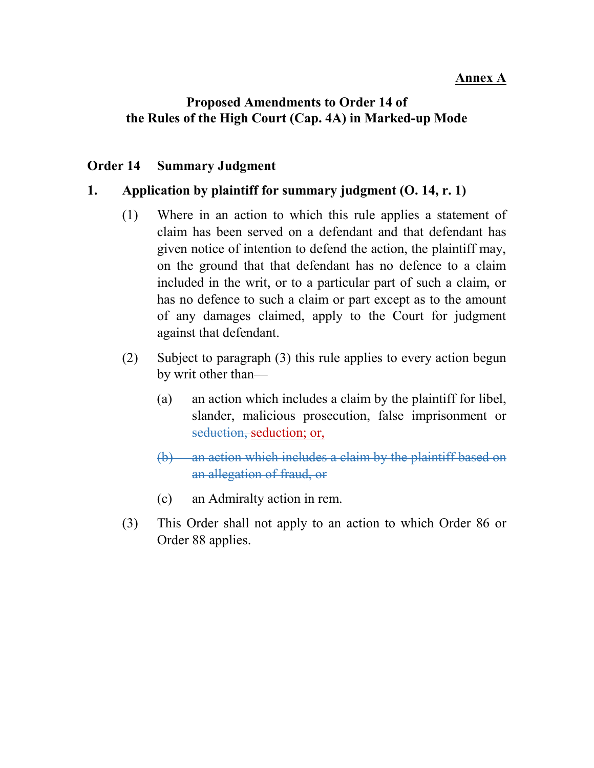### **Annex A**

#### **Proposed Amendments to Order 14 of the Rules of the High Court (Cap. 4A) in Marked-up Mode**

#### **Order 14 Summary Judgment**

#### **1. Application by plaintiff for summary judgment (O. 14, r. 1)**

- (1) Where in an action to which this rule applies a statement of claim has been served on a defendant and that defendant has given notice of intention to defend the action, the plaintiff may, on the ground that that defendant has no defence to a claim included in the writ, or to a particular part of such a claim, or has no defence to such a claim or part except as to the amount of any damages claimed, apply to the Court for judgment against that defendant.
- (2) Subject to paragraph (3) this rule applies to every action begun by writ other than—
	- (a) an action which includes a claim by the plaintiff for libel, slander, malicious prosecution, false imprisonment or seduction, seduction; or,
	- (b) an action which includes a claim by the plaintiff based on an allegation of fraud, or
	- (c) an Admiralty action in rem.
- (3) This Order shall not apply to an action to which Order 86 or Order 88 applies.